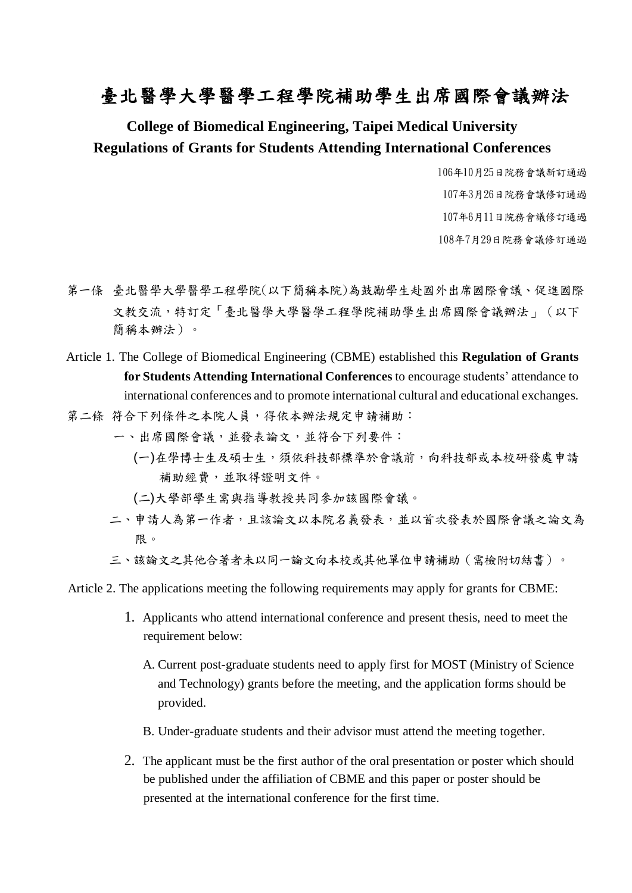## 臺北醫學大學醫學工程學院補助學生出席國際會議辦法

#### **College of Biomedical Engineering, Taipei Medical University Regulations of Grants for Students Attending International Conferences**

年10月25日院務會議新訂通過 年3月26日院務會議修訂通過 年6月11日院務會議修訂通過 年7月29日院務會議修訂通過

- 第一條 臺北醫學大學醫學工程學院(以下簡稱本院)為鼓勵學生赴國外出席國際會議、促進國際 文教交流,特訂定「臺北醫學大學醫學工程學院補助學生出席國際會議辦法」(以下 簡稱本辦法)。
- Article 1. The College of Biomedical Engineering (CBME) established this **Regulation of Grants for Students Attending International Conferences** to encourage students' attendance to international conferences and to promote international cultural and educational exchanges.
- 第二條 符合下列條件之本院人員,得依本辦法規定申請補助:
	- 一、出席國際會議,並發表論文,並符合下列要件:
		- (一)在學博士生及碩士生,須依科技部標準於會議前,向科技部或本校研發處申請 補助經費,並取得證明文件。
		- (二)大學部學生需與指導教授共同參加該國際會議。
	- 二、申請人為第一作者,且該論文以本院名義發表,並以首次發表於國際會議之論文為 限。
	- 三、該論文之其他合著者未以同一論文向本校或其他單位申請補助(需檢附切結書)。

Article 2. The applications meeting the following requirements may apply for grants for CBME:

- 1. Applicants who attend international conference and present thesis, need to meet the requirement below:
	- A. Current post-graduate students need to apply first for MOST (Ministry of Science and Technology) grants before the meeting, and the application forms should be provided.
	- B. Under-graduate students and their advisor must attend the meeting together.
- 2. The applicant must be the first author of the oral presentation or poster which should be published under the affiliation of CBME and this paper or poster should be presented at the international conference for the first time.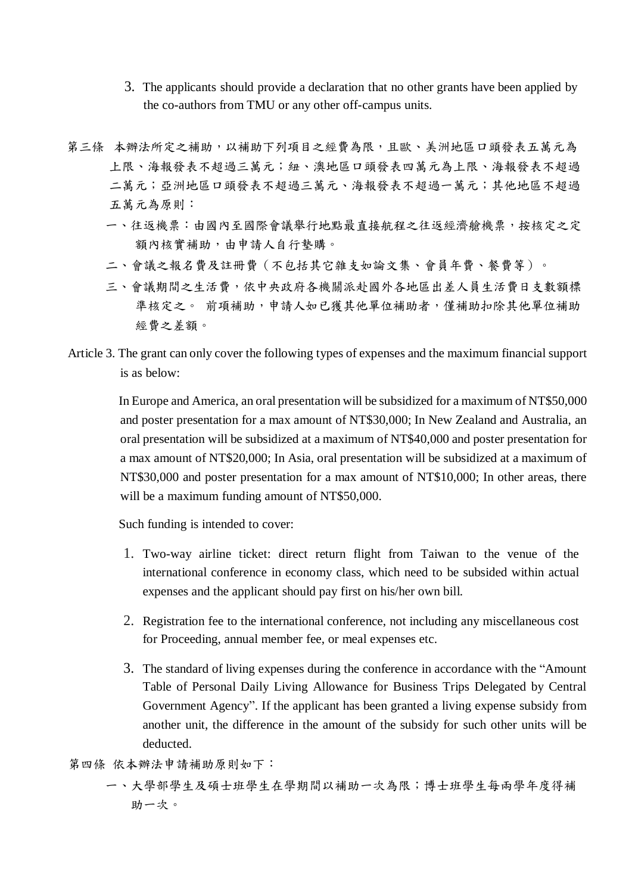- 3. The applicants should provide a declaration that no other grants have been applied by the co-authors from TMU or any other off-campus units.
- 第三條 本辦法所定之補助,以補助下列項目之經費為限,且歐、美洲地區口頭發表五萬元為 上限、海報發表不超過三萬元;紐、澳地區口頭發表四萬元為上限、海報發表不超過 二萬元;亞洲地區口頭發表不超發表不超過一萬元;其他地區不超過 五萬元為原則:
	- 一、往返機票:由國內至國際會議舉行地點最直接航程之往返經濟艙機票,按核定之定 額內核實補助,由申請人自行墊購。
	- 二、會議之報名費及註冊費(不包括其它雜支如論文集、會員年費、餐費等)。
	- 三、會議期間之生活費,依中央政府各機關派赴國外各地區出差人員生活費日支數額標 準核定之。 前項補助,申請人如已獲其他單位補助者,僅補助扣除其他單位補助 經費之差額。
- Article 3. The grant can only cover the following types of expenses and the maximum financial support is as below:

 In Europe and America, an oral presentation will be subsidized for a maximum of NT\$50,000 and poster presentation for a max amount of NT\$30,000; In New Zealand and Australia, an oral presentation will be subsidized at a maximum of NT\$40,000 and poster presentation for a max amount of NT\$20,000; In Asia, oral presentation will be subsidized at a maximum of NT\$30,000 and poster presentation for a max amount of NT\$10,000; In other areas, there will be a maximum funding amount of NT\$50,000.

Such funding is intended to cover:

- 1. Two-way airline ticket: direct return flight from Taiwan to the venue of the international conference in economy class, which need to be subsided within actual expenses and the applicant should pay first on his/her own bill.
- 2. Registration fee to the international conference, not including any miscellaneous cost for Proceeding, annual member fee, or meal expenses etc.
- 3. The standard of living expenses during the conference in accordance with the "Amount Table of Personal Daily Living Allowance for Business Trips Delegated by Central Government Agency". If the applicant has been granted a living expense subsidy from another unit, the difference in the amount of the subsidy for such other units will be deducted.
- 第四條 依本辦法申請補助原則如下:
	- 一、大學部學生及碩士班學生在學期間以補助一次為限;博士班學生每兩學年度得補 助一次。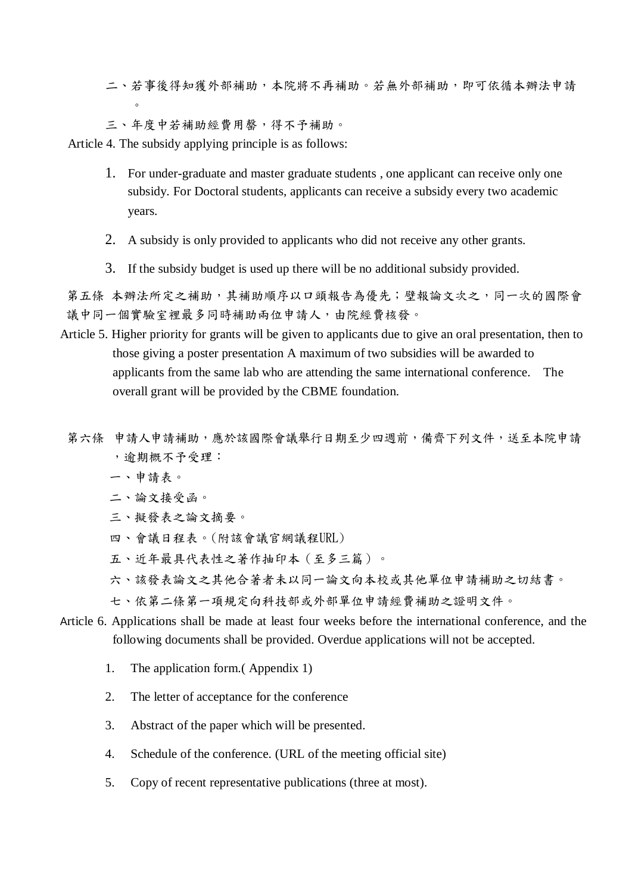- 二、若事後得知獲外部補助,本院將不再補助。若無外部補助,即可依循本辦法申請  $\circ$
- 三、年度中若補助經費用罄,得不予補助。

Article 4. The subsidy applying principle is as follows:

- 1. For under-graduate and master graduate students , one applicant can receive only one subsidy. For Doctoral students, applicants can receive a subsidy every two academic years.
- 2. A subsidy is only provided to applicants who did not receive any other grants.
- 3. If the subsidy budget is used up there will be no additional subsidy provided.

第五條 本辦法所定之補助,其補助順序以口頭報告為優先;壁報論文次之,同一次的國際會 議中同一個實驗室裡最多同時補助兩位申請人,由院經費核發。

- Article 5. Higher priority for grants will be given to applicants due to give an oral presentation, then to those giving a poster presentation A maximum of two subsidies will be awarded to applicants from the same lab who are attending the same international conference. The overall grant will be provided by the CBME foundation.
- 第六條 申請人申請補助,應於該國際會議舉行日期至少四週前,備齊下列文件,送至本院申請 ,逾期概不予受理:
	- 一、申請表。
	- 二、論文接受函。
	- 三、擬發表之論文摘要。
	- 四、會議日程表。(附該會議官網議程URL)
	- 五、近年最具代表性之著作抽印本(至多三篇)。
	- 六、該發表論文之其他合著者未以同一論文向本校或其他單位申請補助之切結書。
	- 七、依第二條第一項規定向科技部或外部單位申請經費補助之證明文件。
- Article 6. Applications shall be made at least four weeks before the international conference, and the following documents shall be provided. Overdue applications will not be accepted.
	- 1. The application form.( Appendix 1)
	- 2. The letter of acceptance for the conference
	- 3. Abstract of the paper which will be presented.
	- 4. Schedule of the conference. (URL of the meeting official site)
	- 5. Copy of recent representative publications (three at most).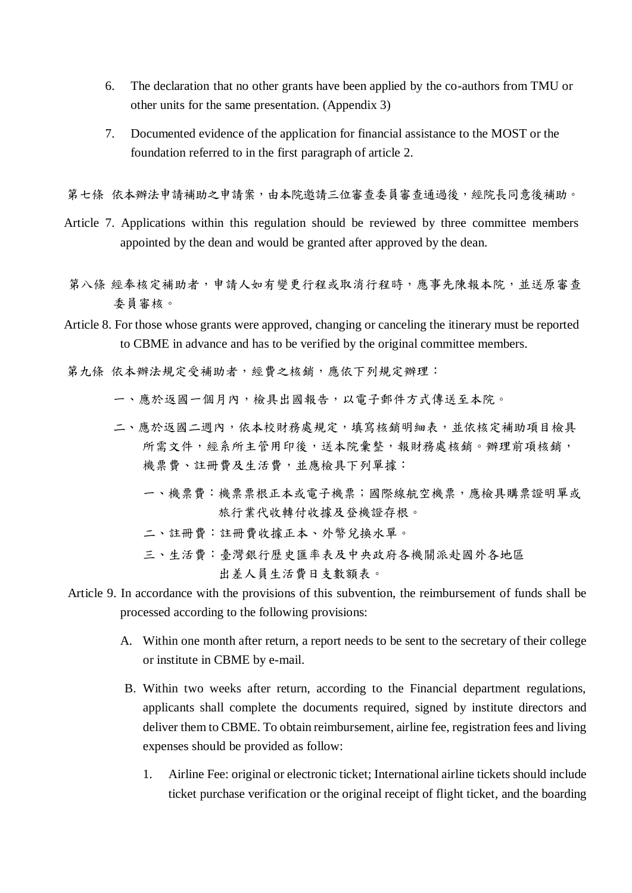- 6. The declaration that no other grants have been applied by the co-authors from TMU or other units for the same presentation. (Appendix 3)
- 7. Documented evidence of the application for financial assistance to the MOST or the foundation referred to in the first paragraph of article 2.

第七條 依本辦法申請補助之申請案,由本院邀請三位審查委員審查通過後,經院長同意後補助。

- Article 7. Applications within this regulation should be reviewed by three committee members appointed by the dean and would be granted after approved by the dean.
- 第八條 經奉核定補助者,申請人如有變更行程或取消行程時,應事先陳報本院,並送原審查 委員審核。
- Article 8. For those whose grants were approved, changing or canceling the itinerary must be reported to CBME in advance and has to be verified by the original committee members.
- 第九條 依本辦法規定受補助者,經費之核銷,應依下列規定辦理:
	- 一、應於返國一個月內,檢具出國報告,以電子郵件方式傳送至本院。
	- 二、應於返國二週內,依本校財務處規定,填寫核銷明細表,並依核定補助項目檢具 所需文件,經系所主管用印後,送本院彙整,報財務處核銷。辦理前項核銷, 機票費、註冊費及生活費,並應檢具下列單據:
		- 一、機票費:機票票根正本或電子機票;國際線航空機票,應檢具購票證明單或 旅行業代收轉付收據及登機證存根。
		- 二、註冊費:註冊費收據正本、外幣兌換水單。
		- 三、生活費:臺灣銀行歷史匯率表及中央政府各機關派赴國外各地區 出差人員生活費日支數額表。
- Article 9. In accordance with the provisions of this subvention, the reimbursement of funds shall be processed according to the following provisions:
	- A. Within one month after return, a report needs to be sent to the secretary of their college or institute in CBME by e-mail.
	- B. Within two weeks after return, according to the Financial department regulations, applicants shall complete the documents required, signed by institute directors and deliver them to CBME. To obtain reimbursement, airline fee, registration fees and living expenses should be provided as follow:
		- 1. Airline Fee: original or electronic ticket; International airline tickets should include ticket purchase verification or the original receipt of flight ticket, and the boarding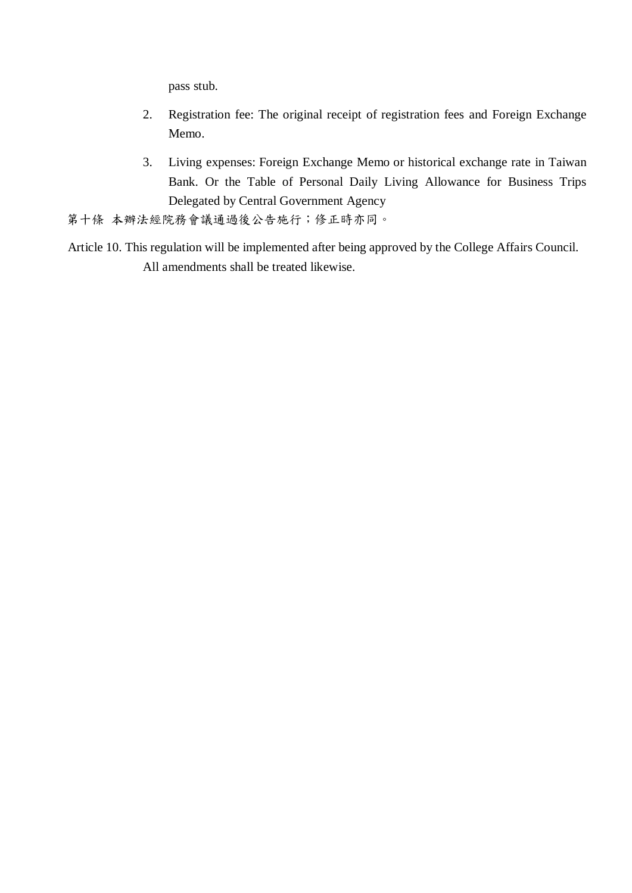pass stub.

- 2. Registration fee: The original receipt of registration fees and Foreign Exchange Memo.
- 3. Living expenses: Foreign Exchange Memo or historical exchange rate in Taiwan Bank. Or the Table of Personal Daily Living Allowance for Business Trips Delegated by Central Government Agency

第十條 本辦法經院務會議通過後公告施行;修正時亦同。

Article 10. This regulation will be implemented after being approved by the College Affairs Council. All amendments shall be treated likewise.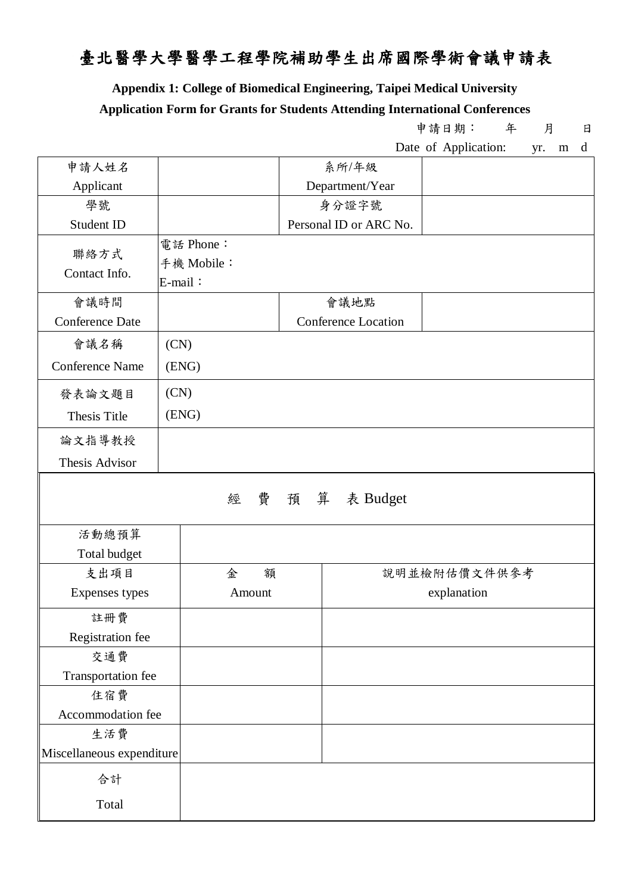# 臺北醫學大學醫學工程學院補助學生出席國際學術會議申請表

**Appendix 1: College of Biomedical Engineering, Taipei Medical University**

#### **Application Form for Grants for Students Attending International Conferences**

申請日期: 年 月 日

|                           |                                    |                            | Date of Application:<br>d<br>yr.<br>m |  |  |  |
|---------------------------|------------------------------------|----------------------------|---------------------------------------|--|--|--|
| 申請人姓名                     |                                    | 系所/年級                      |                                       |  |  |  |
| Applicant                 |                                    | Department/Year            |                                       |  |  |  |
| 學號                        |                                    | 身分證字號                      |                                       |  |  |  |
| Student ID                |                                    | Personal ID or ARC No.     |                                       |  |  |  |
| 聯絡方式<br>Contact Info.     | 電話 Phone:<br>手機 Mobile:<br>E-mail: |                            |                                       |  |  |  |
| 會議時間                      |                                    | 會議地點                       |                                       |  |  |  |
| <b>Conference Date</b>    |                                    | <b>Conference Location</b> |                                       |  |  |  |
| 會議名稱                      | (CN)                               |                            |                                       |  |  |  |
| <b>Conference Name</b>    | (ENG)                              |                            |                                       |  |  |  |
| 發表論文題目                    | (CN)                               |                            |                                       |  |  |  |
| Thesis Title              | (ENG)                              |                            |                                       |  |  |  |
| 論文指導教授                    |                                    |                            |                                       |  |  |  |
| Thesis Advisor            |                                    |                            |                                       |  |  |  |
|                           | 經                                  | 費 預 算 表 Budget             |                                       |  |  |  |
| 活動總預算                     |                                    |                            |                                       |  |  |  |
| Total budget              |                                    |                            |                                       |  |  |  |
| 金<br>支出項目<br>額            |                                    |                            | 說明並檢附估價文件供參考                          |  |  |  |
| Expenses types<br>Amount  |                                    | explanation                |                                       |  |  |  |
| 註冊費                       |                                    |                            |                                       |  |  |  |
| Registration fee          |                                    |                            |                                       |  |  |  |
| 交通費                       |                                    |                            |                                       |  |  |  |
| Transportation fee        |                                    |                            |                                       |  |  |  |
| 住宿費                       |                                    |                            |                                       |  |  |  |
| Accommodation fee         |                                    |                            |                                       |  |  |  |
| 生活費                       |                                    |                            |                                       |  |  |  |
| Miscellaneous expenditure |                                    |                            |                                       |  |  |  |
| 合計                        |                                    |                            |                                       |  |  |  |
| Total                     |                                    |                            |                                       |  |  |  |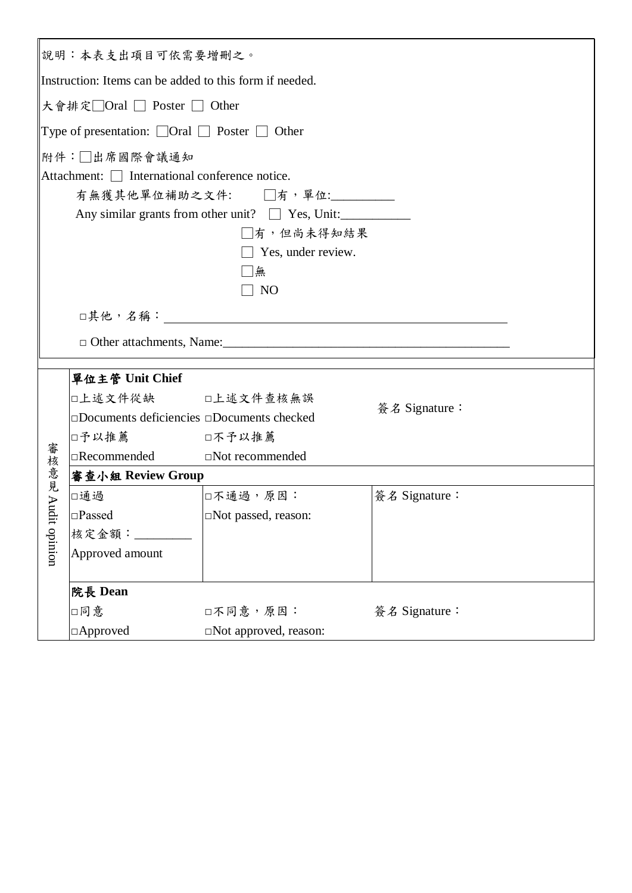|                 | 說明:本表支出項目可依需要增刪之。                                                   |                                                                               |               |  |  |  |  |
|-----------------|---------------------------------------------------------------------|-------------------------------------------------------------------------------|---------------|--|--|--|--|
|                 | Instruction: Items can be added to this form if needed.             |                                                                               |               |  |  |  |  |
|                 | 大會排定□Oral □ Poster □ Other                                          |                                                                               |               |  |  |  |  |
|                 | Type of presentation: $\Box$ Oral $\Box$ Poster $\Box$ Other        |                                                                               |               |  |  |  |  |
|                 | 附件:□出席國際會議通知                                                        |                                                                               |               |  |  |  |  |
|                 | Attachment: □ International conference notice.                      |                                                                               |               |  |  |  |  |
|                 |                                                                     | 有無獲其他單位補助之文件: □有,單位: □                                                        |               |  |  |  |  |
|                 |                                                                     |                                                                               |               |  |  |  |  |
|                 | Any similar grants from other unit? $\Box$ Yes, Unit:<br>□有,但尚未得知結果 |                                                                               |               |  |  |  |  |
|                 |                                                                     | $\Box$ Yes, under review.                                                     |               |  |  |  |  |
|                 |                                                                     | □無                                                                            |               |  |  |  |  |
|                 |                                                                     | N <sub>O</sub>                                                                |               |  |  |  |  |
|                 |                                                                     |                                                                               |               |  |  |  |  |
|                 |                                                                     |                                                                               |               |  |  |  |  |
|                 |                                                                     |                                                                               |               |  |  |  |  |
|                 |                                                                     |                                                                               |               |  |  |  |  |
| 單位主管 Unit Chief |                                                                     |                                                                               |               |  |  |  |  |
|                 | □上述文件從缺 □上述文件查核無誤                                                   |                                                                               |               |  |  |  |  |
|                 |                                                                     | 簽名 Signature:<br>$\square$ Documents deficiencies $\square$ Documents checked |               |  |  |  |  |
|                 | □予以推薦                                                               | □不予以推薦                                                                        |               |  |  |  |  |
|                 | $\Box$ Recommended $\Box$ Not recommended                           |                                                                               |               |  |  |  |  |
| 審核意見            | 審查小組 Review Group                                                   |                                                                               |               |  |  |  |  |
|                 | □通過                                                                 | □不通過,原因:                                                                      | 簽名 Signature: |  |  |  |  |
|                 | $\square$ Passed                                                    | □Not passed, reason:                                                          |               |  |  |  |  |
|                 | 核定金額:                                                               |                                                                               |               |  |  |  |  |
| Audit opinion   | Approved amount                                                     |                                                                               |               |  |  |  |  |
|                 |                                                                     |                                                                               |               |  |  |  |  |
|                 | 院長 Dean                                                             |                                                                               |               |  |  |  |  |
|                 | □同意                                                                 | □不同意,原因:<br>簽名 Signature:                                                     |               |  |  |  |  |
|                 | $\Box$ Approved<br>□Not approved, reason:                           |                                                                               |               |  |  |  |  |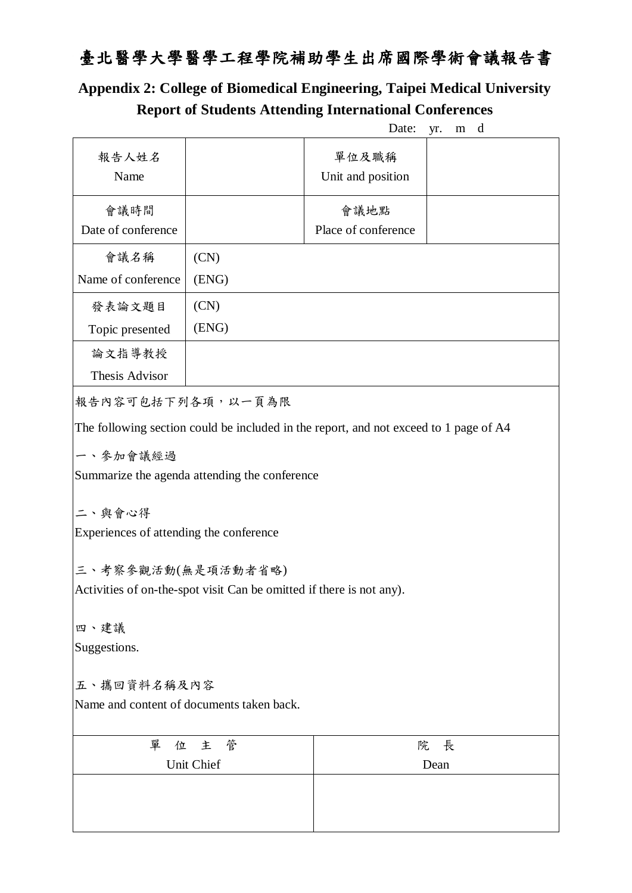# 臺北醫學大學醫學工程學院補助學生出席國際學術會議報告書

## **Appendix 2: College of Biomedical Engineering, Taipei Medical University Report of Students Attending International Conferences**

|                                                                                                                            |                                                                      | Date:                                                                                 | yr. |
|----------------------------------------------------------------------------------------------------------------------------|----------------------------------------------------------------------|---------------------------------------------------------------------------------------|-----|
| 報告人姓名<br>Name                                                                                                              |                                                                      | 單位及職稱<br>Unit and position                                                            |     |
| 會議時間                                                                                                                       |                                                                      | 會議地點                                                                                  |     |
| Date of conference                                                                                                         |                                                                      | Place of conference                                                                   |     |
| 會議名稱                                                                                                                       | (CN)                                                                 |                                                                                       |     |
| Name of conference                                                                                                         | (ENG)                                                                |                                                                                       |     |
| 發表論文題目                                                                                                                     | (CN)                                                                 |                                                                                       |     |
| Topic presented                                                                                                            | (ENG)                                                                |                                                                                       |     |
| 論文指導教授                                                                                                                     |                                                                      |                                                                                       |     |
| Thesis Advisor                                                                                                             |                                                                      |                                                                                       |     |
|                                                                                                                            | 報告內容可包括下列各項,以一頁為限                                                    |                                                                                       |     |
|                                                                                                                            | Summarize the agenda attending the conference                        | The following section could be included in the report, and not exceed to 1 page of A4 |     |
|                                                                                                                            | Activities of on-the-spot visit Can be omitted if there is not any). |                                                                                       |     |
|                                                                                                                            |                                                                      |                                                                                       |     |
|                                                                                                                            |                                                                      |                                                                                       |     |
|                                                                                                                            |                                                                      |                                                                                       |     |
|                                                                                                                            |                                                                      |                                                                                       |     |
| 一、參加會議經過<br>二、與會心得<br>Experiences of attending the conference<br>三、考察參觀活動(無是項活動者省略)<br>四、建議<br>Suggestions.<br>五、攜回資料名稱及內容 | Name and content of documents taken back.                            |                                                                                       |     |
| 單<br>位                                                                                                                     | 主<br>管                                                               | 院                                                                                     | 長   |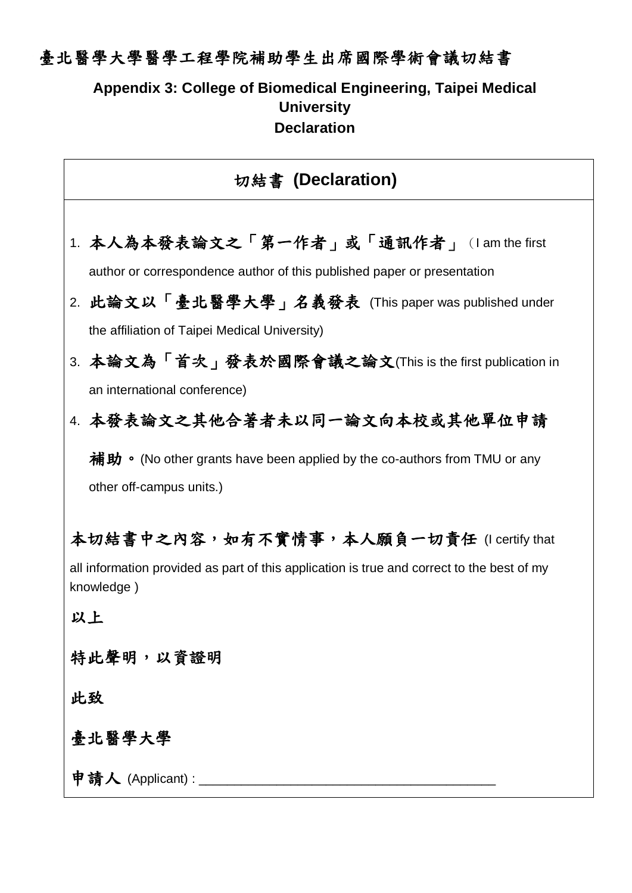### 臺北醫學大學醫學工程學院補助學生出席國際學術會議切結書

#### **Appendix 3: College of Biomedical Engineering, Taipei Medical University Declaration**

#### 切結書 **(Declaration)**

- 1. 本人為本發表論文之「第一作者」或「通訊作者」(I am the first author or correspondence author of this published paper or presentation
- 2. 此論文以「臺北醫學大學」名義發表 (This paper was published under the affiliation of Taipei Medical University)
- 3. 本論文為「首次」發表於國際會議之論文(This is the first publication in an international conference)
- 4. 本發表論文之其他合著者未以同一論文向本校或其他單位申請

補助。(No other grants have been applied by the co-authors from TMU or any other off-campus units.)

本切結書中之內容,如有不實情事,本人願負一切責任 (I certify that

all information provided as part of this application is true and correct to the best of my knowledge )

以上

### 特此聲明,以資證明

此致

#### 臺北醫學大學

申請人 (Applicant) : \_\_\_\_\_\_\_\_\_